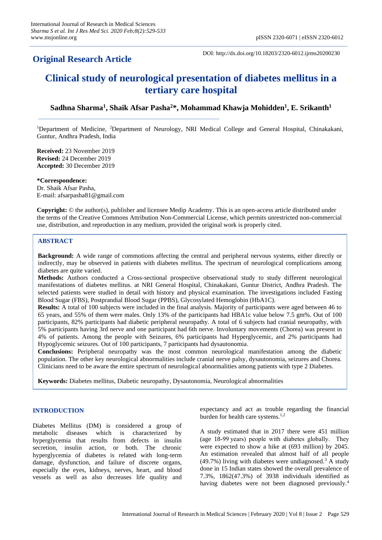# **Original Research Article**

DOI: http://dx.doi.org/10.18203/2320-6012.ijrms20200230

# **Clinical study of neurological presentation of diabetes mellitus in a tertiary care hospital**

# **Sadhna Sharma<sup>1</sup> , Shaik Afsar Pasha<sup>2</sup>\*, Mohammad Khawja Mohidden<sup>1</sup> , E. Srikanth<sup>1</sup>**

<sup>1</sup>Department of Medicine, <sup>2</sup>Department of Neurology, NRI Medical College and General Hospital, Chinakakani, Guntur, Andhra Pradesh, India

**Received:** 23 November 2019 **Revised:** 24 December 2019 **Accepted:** 30 December 2019

**\*Correspondence:** Dr. Shaik Afsar Pasha, E-mail: afsarpasha81@gmail.com

**Copyright:** © the author(s), publisher and licensee Medip Academy. This is an open-access article distributed under the terms of the Creative Commons Attribution Non-Commercial License, which permits unrestricted non-commercial use, distribution, and reproduction in any medium, provided the original work is properly cited.

#### **ABSTRACT**

**Background:** A wide range of commotions affecting the central and peripheral nervous systems, either directly or indirectly, may be observed in patients with diabetes mellitus. The spectrum of neurological complications among diabetes are quite varied.

**Methods:** Authors conducted a Cross-sectional prospective observational study to study different neurological manifestations of diabetes mellitus. at NRI General Hospital, Chinakakani, Guntur District, Andhra Pradesh. The selected patients were studied in detail with history and physical examination. The investigations included Fasting Blood Sugar (FBS), Postprandial Blood Sugar (PPBS), Glycosylated Hemoglobin (HbA1C).

**Results:** A total of 100 subjects were included in the final analysis. Majority of participants were aged between 46 to 65 years, and 55% of them were males. Only 13% of the participants had HBA1c value below 7.5 gm%. Out of 100 participants, 82% participants had diabetic peripheral neuropathy. A total of 6 subjects had cranial neuropathy, with 5% participants having 3rd nerve and one participant had 6th nerve. Involuntary movements (Chorea) was present in 4% of patients. Among the people with Seizures, 6% participants had Hyperglycemic, and 2% participants had Hypoglycemic seizures. Out of 100 participants, 7 participants had dysautonomia.

**Conclusions:** Peripheral neuropathy was the most common neurological manifestation among the diabetic population. The other key neurological abnormalities include cranial nerve palsy, dysautonomia, seizures and Chorea. Clinicians need to be aware the entire spectrum of neurological abnormalities among patients with type 2 Diabetes.

**Keywords:** Diabetes mellitus, Diabetic neuropathy, Dysautonomia, Neurological abnormalities

# **INTRODUCTION**

Diabetes Mellitus (DM) is considered a group of metabolic diseases which is characterized by hyperglycemia that results from defects in insulin secretion, insulin action, or both. The chronic hyperglycemia of diabetes is related with long-term damage, dysfunction, and failure of discrete organs, especially the eyes, kidneys, nerves, heart, and blood vessels as well as also decreases life quality and expectancy and act as trouble regarding the financial burden for health care systems.<sup>1,2</sup>

A study estimated that in 2017 there were 451 million (age 18-99 years) people with diabetes globally. They were expected to show a hike at (693 million) by 2045. An estimation revealed that almost half of all people  $(49.7\%)$  living with diabetes were undiagnosed.<sup>3</sup> A study done in 15 Indian states showed the overall prevalence of 7.3%, 1862(47.3%) of 3938 individuals identified as having diabetes were not been diagnosed previously.<sup>4</sup>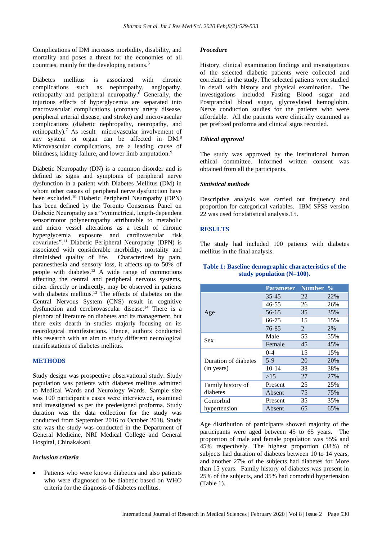Complications of DM increases morbidity, disability, and mortality and poses a threat for the economies of all countries, mainly for the developing nations.<sup>5</sup>

Diabetes mellitus is associated with chronic complications such as nephropathy, angiopathy, retinopathy and peripheral neuropathy.<sup>6</sup> Generally, the injurious effects of hyperglycemia are separated into macrovascular complications (coronary artery disease, peripheral arterial disease, and stroke) and microvascular complications (diabetic nephropathy, neuropathy, and retinopathy).<sup>7</sup> As result microvascular involvement of any system or organ can be affected in DM.<sup>8</sup> Microvascular complications, are a leading cause of blindness, kidney failure, and lower limb amputation.<sup>9</sup>

Diabetic Neuropathy (DN) is a common disorder and is defined as signs and symptoms of peripheral nerve dysfunction in a patient with Diabetes Mellitus (DM) in whom other causes of peripheral nerve dysfunction have been excluded.<sup>10</sup> Diabetic Peripheral Neuropathy (DPN) has been defined by the Toronto Consensus Panel on Diabetic Neuropathy as a "symmetrical, length-dependent sensorimotor polyneuropathy attributable to metabolic and micro vessel alterations as a result of chronic hyperglycemia exposure and cardiovascular risk covariates".<sup>11</sup> Diabetic Peripheral Neuropathy (DPN) is associated with considerable morbidity, mortality and diminished quality of life. Characterized by pain, paranesthesia and sensory loss, it affects up to 50% of people with diabetes.<sup>12</sup> A wide range of commotions affecting the central and peripheral nervous systems, either directly or indirectly, may be observed in patients with diabetes mellitus.<sup>13</sup> The effects of diabetes on the Central Nervous System (CNS) result in cognitive dysfunction and cerebrovascular disease.<sup>14</sup> There is a plethora of literature on diabetes and its management, but there exits dearth in studies majorly focusing on its neurological manifestations. Hence, authors conducted this research with an aim to study different neurological manifestations of diabetes mellitus.

#### **METHODS**

Study design was prospective observational study. Study population was patients with diabetes mellitus admitted to Medical Wards and Neurology Wards. Sample size was 100 participant's cases were interviewed, examined and investigated as per the predesigned proforma. Study duration was the data collection for the study was conducted from September 2016 to October 2018. Study site was the study was conducted in the Department of General Medicine, NRI Medical College and General Hospital, Chinakakani.

#### *Inclusion criteria*

Patients who were known diabetics and also patients who were diagnosed to be diabetic based on WHO criteria for the diagnosis of diabetes mellitus.

#### *Procedure*

History, clinical examination findings and investigations of the selected diabetic patients were collected and correlated in the study. The selected patients were studied in detail with history and physical examination. The investigations included Fasting Blood sugar and Postprandial blood sugar, glycosylated hemoglobin. Nerve conduction studies for the patients who were affordable. All the patients were clinically examined as per prefixed proforma and clinical signs recorded.

#### *Ethical approval*

The study was approved by the institutional human ethical committee. Informed written consent was obtained from all the participants.

#### *Statistical methods*

Descriptive analysis was carried out frequency and proportion for categorical variables. IBM SPSS version 22 was used for statistical analysis.15.

#### **RESULTS**

The study had included 100 patients with diabetes mellitus in the final analysis.

#### **Table 1: Baseline demographic characteristics of the study population (N=100).**

|                                    | <b>Parameter</b> | Number $\frac{1}{2}$ |     |
|------------------------------------|------------------|----------------------|-----|
| Age                                | 35-45            | 22                   | 22% |
|                                    | 46-55            | 26                   | 26% |
|                                    | 56-65            | 35                   | 35% |
|                                    | 66-75            | 15                   | 15% |
|                                    | 76-85            | 2                    | 2%  |
| <b>Sex</b>                         | Male             | 55                   | 55% |
|                                    | Female           | 45                   | 45% |
| Duration of diabetes<br>(in years) | $0 - 4$          | 15                   | 15% |
|                                    | $5-9$            | 20                   | 20% |
|                                    | $10-14$          | 38                   | 38% |
|                                    | >15              | 27                   | 27% |
| Family history of<br>diabetes      | Present          | 25                   | 25% |
|                                    | Absent           | 75                   | 75% |
| Comorbid                           | Present          | 35                   | 35% |
| hypertension                       | Absent           | 65                   | 65% |

Age distribution of participants showed majority of the participants were aged between 45 to 65 years. The proportion of male and female population was 55% and 45% respectively. The highest proportion (38%) of subjects had duration of diabetes between 10 to 14 years, and another 27% of the subjects had diabetes for More than 15 years. Family history of diabetes was present in 25% of the subjects, and 35% had comorbid hypertension (Table 1).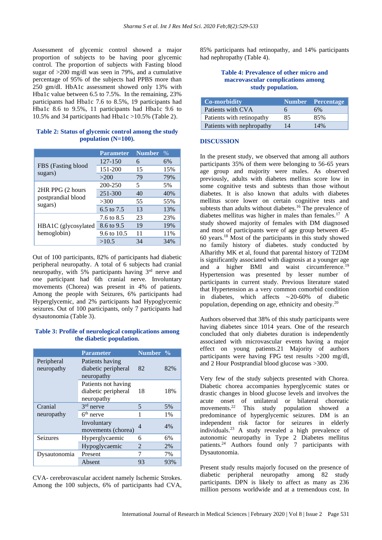Assessment of glycemic control showed a major proportion of subjects to be having poor glycemic control. The proportion of subjects with Fasting blood sugar of >200 mg/dl was seen in 79%, and a cumulative percentage of 95% of the subjects had PPBS more than 250 gm/dl. HbA1c assessment showed only 13% with Hba1c value between 6.5 to 7.5%. In the remaining, 23% participants had Hba1c 7.6 to 8.5%, 19 participants had Hba1c 8.6 to 9.5%, 11 participants had Hba1c 9.6 to 10.5% and 34 participants had Hba1c >10.5% (Table 2).

# **Table 2: Status of glycemic control among the study population (N=100).**

|                                                   | <b>Parameter</b> | <b>Number</b> | $\%$ |
|---------------------------------------------------|------------------|---------------|------|
| FBS (Fasting blood<br>sugars)                     | 127-150          | 6             | 6%   |
|                                                   | 151-200          | 15            | 15%  |
|                                                   | >200             | 79            | 79%  |
| 2HR PPG (2 hours<br>postprandial blood<br>sugars) | 200-250          | 5             | 5%   |
|                                                   | 251-300          | 40            | 40%  |
|                                                   | >300             | 55            | 55%  |
|                                                   | 6.5 to 7.5       | 13            | 13%  |
| HBA1C (glycosylated<br>hemoglobin)                | 7.6 to 8.5       | 23            | 23%  |
|                                                   | 8.6 to 9.5       | 19            | 19%  |
|                                                   | 9.6 to 10.5      | 11            | 11%  |
|                                                   | >10.5            | 34            | 34%  |

Out of 100 participants, 82% of participants had diabetic peripheral neuropathy. A total of 6 subjects had cranial neuropathy, with 5% participants having 3<sup>rd</sup> nerve and one participant had 6th cranial nerve. Involuntary movements (Chorea) was present in 4% of patients. Among the people with Seizures, 6% participants had Hyperglycemic, and 2% participants had Hypoglycemic seizures. Out of 100 participants, only 7 participants had dysautonomia (Table 3).

# **Table 3: Profile of neurological complications among the diabetic population.**

|                          | <b>Parameter</b>                                         | Number %       |       |
|--------------------------|----------------------------------------------------------|----------------|-------|
| Peripheral<br>neuropathy | Patients having<br>diabetic peripheral<br>neuropathy     | 82             | 82%   |
|                          | Patients not having<br>diabetic peripheral<br>neuropathy | 18             | 18%   |
| Cranial                  | $3rd$ nerve                                              | 5              | 5%    |
| neuropathy               | $6th$ nerve                                              | 1              | 1%    |
|                          | Involuntary<br>movements (chorea)                        | $\overline{4}$ | $4\%$ |
| <b>Seizures</b>          | Hyperglycaemic                                           | 6              | 6%    |
|                          | Hypoglycaemic                                            | 2              | 2%    |
| Dysautonomia             | Present                                                  | 7              | 7%    |
|                          | Absent                                                   | 93             | 93%   |

CVA- cerebrovascular accident namely Ischemic Strokes. Among the 100 subjects, 6% of participants had CVA, 85% participants had retinopathy, and 14% participants had nephropathy (Table 4).

# **Table 4: Prevalence of other micro and macrovascular complications among study population.**

| <b>Co-morbidity</b>       |    | Number Percentage |
|---------------------------|----|-------------------|
| Patients with CVA         | n  | 6%                |
| Patients with retinopathy | 85 | 85%               |
| Patients with nephropathy | 14 | 14%               |

# **DISCUSSION**

In the present study, we observed that among all authors participants 35% of them were belonging to 56-65 years age group and majority were males. As observed previously, adults with diabetes mellitus score low in some cognitive tests and subtests than those without diabetes. It is also known that adults with diabetes mellitus score lower on certain cognitive tests and subtests than adults without diabetes.<sup>16</sup> The prevalence of diabetes mellitus was higher in males than females.<sup>17</sup> A study showed majority of females with DM diagnosed and most of participants were of age group between 45- 60 years.<sup>18</sup> Most of the participants in this study showed no family history of diabetes. study conducted by Alharithy MK et al, found that parental history of T2DM is significantly associated with diagnosis at a younger age and a higher BMI and waist circumference.<sup>1</sup> Hypertension was presented by lesser number of participants in current study. Previous literature stated that Hypertension as a very common comorbid condition in diabetes, which affects ∼20-60% of diabetic population, depending on age, ethnicity and obesity.<sup>20</sup>

Authors observed that 38% of this study participants were having diabetes since 1014 years. One of the research concluded that only diabetes duration is independently associated with microvascular events having a major effect on young patients.21 Majority of authors participants were having FPG test results >200 mg/dl, and 2 Hour Postprandial blood glucose was >300.

Very few of the study subjects presented with Chorea. Diabetic chorea accompanies hyperglycemic states or drastic changes in blood glucose levels and involves the acute onset of unilateral or bilateral choreatic<br>movements.<sup>22</sup> This study population showed a This study population showed a predominance of hyperglycemic seizures. DM is an independent risk factor for seizures in elderly individuals.<sup>23</sup> A study revealed a high prevalence of autonomic neuropathy in Type 2 Diabetes mellitus patients.<sup>24</sup> Authors found only 7 participants with Dysautonomia.

Present study results majorly focused on the presence of diabetic peripheral neuropathy among 82 study participants. DPN is likely to affect as many as 236 million persons worldwide and at a tremendous cost. In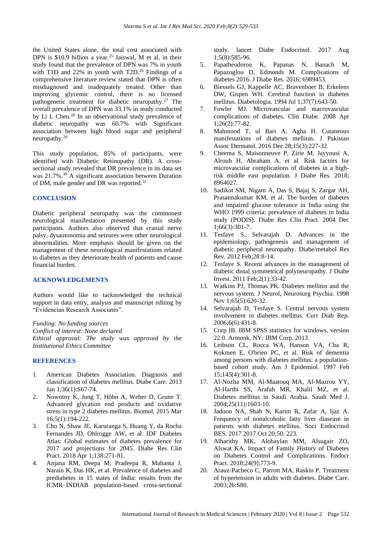the United States alone, the total cost associated with DPN is \$10.9 billion a year.<sup>25</sup> Jaiswal, M et al, in their study found that the prevalence of DPN was 7% in youth with T1D and  $22\%$  in youth with T2D.<sup>26</sup> Findings of a comprehensive literature review stated that DPN is often misdiagnosed and inadequately treated. Other than improving glycemic control, there is no licensed pathogenetic treatment for diabetic neuropathy.<sup>27</sup> The overall prevalence of DPN was 33.1% in study conducted by Li L Chen.<sup>28</sup> In an observational study prevalence of diabetic neuropathy was 60.7% with Significant association between high blood sugar and peripheral neuropathy.<sup>29</sup>

This study population, 85% of participants, were identified with Diabetic Retinopathy (DR). A crosssectional study revealed that DR prevalence in its data set was 21.7%.<sup>30</sup> A significant association between Duration of DM, male gender and DR was reported.<sup>31</sup>

# **CONCLUSION**

Diabetic peripheral neuropathy was the commonest neurological manifestation presented by this study participants. Authors also observed that cranial nerve palsy, dysautonomia and seizures were other neurological abnormalities. More emphasis should be given on the management of these neurological manifestations related to diabetes as they deteriorate health of patients and cause financial burden.

#### **ACKNOWLEDGEMENTS**

Authors would like to tacknowledged the technical support in data entry, analysis and manuscript editing by "Evidencian Research Associates".

*Funding: No funding sources Conflict of interest: None declared Ethical approval: The study was approved by the Institutional Ethics Committee*

# **REFERENCES**

- 1. American Diabetes Association. Diagnosis and classification of diabetes mellitus. Diabe Care. 2013 Jan 1;36(1):S67-74.
- 2. Nowotny K, Jung T, Höhn A, Weber D, Grune T. Advanced glycation end products and oxidative stress in type 2 diabetes mellitus. Biomol. 2015 Mar 16;5(1):194-222.
- 3. Cho N, Shaw JE, Karuranga S, Huang Y, da Rocha Fernandes JD, Ohlrogge AW, et al. IDF Diabetes Atlas: Global estimates of diabetes prevalence for 2017 and projections for 2045. Diabe Res Clin Pract. 2018 Apr 1;138:271-81.
- 4. Anjana RM, Deepa M, Pradeepa R, Mahanta J, Narain K, Das HK, et al. Prevalence of diabetes and prediabetes in 15 states of India: results from the ICMR–INDIAB population-based cross-sectional

study. lancet Diabe Endocrinol. 2017 Aug 1;5(8):585-96.

- 5. Papatheodorou K, Papanas N, Banach M, Papazoglou D, Edmonds M. Complications of diabetes 2016. J Diabe Res. 2016; 6989453.
- 6. Biessels GJ, Kappelle AC, Bravenboer B, Erkelens DW, Gispen WH. Cerebral function in diabetes mellitus. Diabetologia. 1994 Jul 1;37(7):643-50.
- 7. Fowler MJ. Microvascular and macrovascular complications of diabetes. Clin Diabe. 2008 Apr 1;26(2):77-82.
- 8. Mahmood T, ul Bari A, Agha H. Cutaneous manifestations of diabetes mellitus. J Pakistan Assoc Dermatol. 2016 Dec 28;15(3):227-32.
- 9. Cheema S, Maisonneuve P, Zirie M, Jayyousi A, Alrouh H, Abraham A, et al. Risk factors for microvascular complications of diabetes in a highrisk middle east population. J Diabe Res. 2018; 8964027.
- 10. Sadikot SM, Nigam A, Das S, Bajaj S, Zargar AH, Prasannakumar KM, et al. The burden of diabetes and impaired glucose tolerance in India using the WHO 1999 criteria: prevalence of diabetes in India study (PODIS). Diabe Res Clin Pract. 2004 Dec 1;66(3):301-7.
- 11. Tesfaye S, Selvarajah D. Advances in the epidemiology, pathogenesis and management of diabetic peripheral neuropathy. Diabe/metabol Res Rev. 2012 Feb;28:8-14.
- 12. Tesfaye S. Recent advances in the management of diabetic distal symmetrical polyneuropathy. J Diabe Invest. 2011 Feb;2(1):33-42.
- 13. Watkins PJ, Thomas PK. Diabetes mellitus and the nervous system. J Neurol, Neurosurg Psychia. 1998 Nov 1;65(5):620-32.
- 14. Selvarajah D, Tesfaye S. Central nervous system involvement in diabetes mellitus. Curr Diab Rep. 2006;6(6):431-8.
- 15. Corp IB. IBM SPSS statistics for windows, version 22.0. Armonk, NY: IBM Corp. 2013.
- 16. Leibson CL, Rocca WA, Hanson VA, Cha R, Kokmen E, O'brien PC, et al. Risk of dementia among persons with diabetes mellitus: a populationbased cohort study. Am J Epidemiol. 1997 Feb 15;145(4):301-8.
- 17. Al-Nozha MM, Al-Maatouq MA, Al-Mazrou YY, Al-Harthi SS, Arafah MR, Khalil MZ, et al. Diabetes mellitus in Saudi Arabia. Saudi Med J. 2004;25(11):1603-10.
- 18. Jadoon NA, Shah N, Karim R, Zafar A, Ijaz A. Frequency of nonalcoholic fatty liver diasease in patients with diabetes mellitus. Soci Endocrinol BES. 2017 2017 Oct 20;50: 223.
- 19. Alharithy MK, Alobaylan MM, Alsugair ZO, Alswat KA. Impact of Family History of Diabetes on Diabetes Control and Complications. Endocr Pract. 2018;24(9):773-9.
- 20. Arauz-Pacheco C, Parrott MA, Raskin P. Treatment of hypertension in adults with diabetes. Diabe Care. 2003;26:S80.